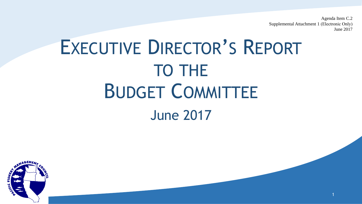Agenda Item C.2 Supplemental Attachment 1 (Electronic Only) June 2017

1

### EXECUTIVE DIRECTOR'S REPORT TO THE BUDGET COMMITTEE June 2017

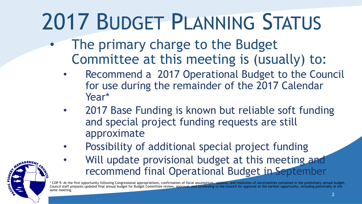## 2017 BUDGET PLANNING STATUS

- The primary charge to the Budget Committee at this meeting is (usually) to:
	- Recommend a 2017 Operational Budget to the Council for use during the remainder of the 2017 Calendar Year\*
	- 2017 Base Funding is known but reliable soft funding and special project funding requests are still approximate
	- Possibility of additional special project funding
		- Will update provisional budget at this meeting and recommend final Operational Budget in September

\* COP 9: At the first opportunity following Congressional appropriations, confirmation of fiscal assumptions, updates, and resolution of uncertainties contained in the preliminary annual budget, Council staff prepares updated final annual budget for Budget Committee review, approval, and forwarding to the Council for approval at the earliest opportunity, including potentially at the same meeting. 2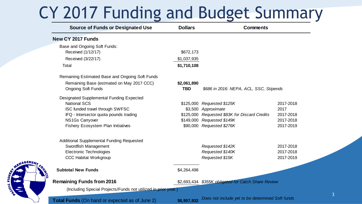#### CY 2017 Funding and Budget Summary

| <b>Source of Funds or Designated Use</b>                       | <b>Dollars</b> | <b>Comments</b>                                     |           |  |  |
|----------------------------------------------------------------|----------------|-----------------------------------------------------|-----------|--|--|
| New CY 2017 Funds                                              |                |                                                     |           |  |  |
| Base and Ongoing Soft Funds:                                   |                |                                                     |           |  |  |
| Received (1/12/17)                                             | \$672,173      |                                                     |           |  |  |
| Received (3/22/17)                                             | \$1,037,935    |                                                     |           |  |  |
| Total                                                          | \$1,710,108    |                                                     |           |  |  |
| Remaining Estimated Base and Ongoing Soft Funds                |                |                                                     |           |  |  |
| Remaining Base (estmated on May 2017 CCC)                      | \$2,061,890    |                                                     |           |  |  |
| <b>Ongoing Soft Funds</b>                                      | <b>TBD</b>     | \$686 in 2016: NEPA, ACL, SSC, Stipends             |           |  |  |
| <b>Designated Supplemental Funding Expected</b>                |                |                                                     |           |  |  |
| <b>National SCS</b>                                            |                | \$125,000 Requested \$125K                          | 2017-2018 |  |  |
| ISC funded travel through SWFSC                                |                | \$3,500 Approximate                                 | 2017      |  |  |
| IFQ - Intersector quota pounds trading                         |                | \$125,000 Requested \$83K for Discard Credits       | 2017-2018 |  |  |
| <b>NS1Gs Carryover</b>                                         |                | \$149,000 Requested \$149K                          | 2017-2018 |  |  |
| Fishery Ecosystem Plan Initiatives                             |                | \$90,000 Requested \$276K                           | 2017-2019 |  |  |
| <b>Additional Supplemental Funding Requested</b>               |                |                                                     |           |  |  |
| Swordfish Management                                           |                | Requested \$142K                                    | 2017-2018 |  |  |
| <b>Electronic Technologies</b>                                 |                | Requested \$140K                                    | 2017-2018 |  |  |
| <b>CCC Habitat Workgroup</b>                                   |                | Requested \$15K                                     | 2017-2019 |  |  |
| <b>Subtotal New Funds</b>                                      | \$4,264,498    |                                                     |           |  |  |
| <b>Remaining Funds from 2016</b>                               |                | \$2,693,434 \$355K obligated for Catch Share Review |           |  |  |
| (Including Special Projects/Funds not utilized in prior year.) |                |                                                     |           |  |  |
| <b>Total Funds</b> (On hand or expected as of June 2)          | \$6,957,932    | Does not include yet to be determined Soft funds    |           |  |  |

NAGEMEN

CHIC FIS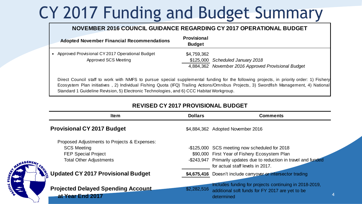#### CY 2017 Funding and Budget Summary

#### **NOVEMBER 2016 COUNCIL GUIDANCE REGARDING CY 2017 OPERATIONAL BUDGET**

| <b>Adopted November Financial Recommendations</b>                                                                                       | <b>Provisional</b><br><b>Budget</b> |                                                     |
|-----------------------------------------------------------------------------------------------------------------------------------------|-------------------------------------|-----------------------------------------------------|
| • Approved Provisional CY 2017 Operational Budget                                                                                       | \$4,759,362                         |                                                     |
| Approved SCS Meeting                                                                                                                    |                                     | \$125,000 Scheduled January 2018                    |
|                                                                                                                                         |                                     | 4,884,362 November 2016 Approved Provisional Budget |
| Direct Council staff to work with NMFS to pursue special supplemental funding for the following projects, in priority order: 1) Fishery |                                     |                                                     |
| Ecosystem Plan initiatives, 2) Individual Fishing Quota (IFQ) Trailing Actions/Omnibus Projects, 3) Swordfish Management, 4) National   |                                     |                                                     |

Approved SCS Meeting<br>
Ecosystem Plan initiatives , 2) Individual Fishing Quota (IFQ) Trailing Actions/Omnibus Projects, 3) Swordfish Management, 4) National<br>
Ecosystem Plan initiatives , 2) Individual Fishing Quota (IFQ) T Standard 1 Guideline Revision, 5) Electronic Technologies, and 6) CCC Habitat Workgroup.

#### **REVISED CY 2017 PROVISIONAL BUDGET**

| <b>Item</b>                                                   | <b>Dollars</b> | <b>Comments</b>                                                                                                         |
|---------------------------------------------------------------|----------------|-------------------------------------------------------------------------------------------------------------------------|
| <b>Provisional CY 2017 Budget</b>                             |                | \$4,884,362 Adopted November 2016                                                                                       |
| Proposed Adjustments to Projects & Expenses:                  |                |                                                                                                                         |
| <b>SCS Meeting</b>                                            |                | -\$125,000 SCS meeting now scheduled for 2018                                                                           |
| <b>FEP Special Project</b>                                    |                | \$90,000 First Year of Fishery Ecosystem Plan                                                                           |
| <b>Total Other Adjustments</b>                                |                | -\$243,947 Primarily updates due to reduction in travel and funded<br>for actual staff levels in 2017.                  |
| ို့ Updated CY 2017 Provisional Budget                        |                | \$4,675,416 Doesn't include carryover or intersector trading                                                            |
| <b>Projected Delayed Spending Account</b><br>at Year End 2017 | \$2,282,516    | Includes funding for projects continuing in 2018-2019,<br>additional soft funds for FY 2017 are yet to be<br>determined |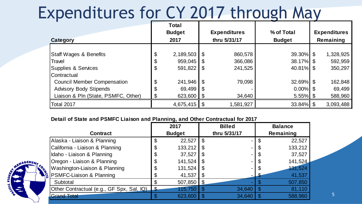#### Expenditures for CY 2017 through May

| <b>Category</b>                               | <b>Total</b><br><b>Budget</b><br>2017 |           |                | <b>Expenditures</b><br>thru 5/31/17 | % of Total<br><b>Budget</b> |  | <b>Expenditures</b><br>Remaining |
|-----------------------------------------------|---------------------------------------|-----------|----------------|-------------------------------------|-----------------------------|--|----------------------------------|
| <b>Staff Wages &amp; Benefits</b>             | $\boldsymbol{\theta}$                 | 2,189,503 | $\mathfrak{L}$ | 860,578                             | $39.30\%$ \$                |  | 1,328,925                        |
| Travel                                        | $\boldsymbol{\theta}$                 | 959,045   | S              | 366,086                             | 38.17% \$                   |  | 592,959                          |
| <b>Supplies &amp; Services</b><br>Contractual | $\boldsymbol{\theta}$                 | 591,822   | \$             | 241,525                             | $40.81\%$ \$                |  | 350,297                          |
| <b>Council Member Compensation</b>            | \$                                    | 241,946   | $\mathcal{S}$  | 79,098                              | $32.69\%$ \$                |  | 162,848                          |
| <b>Advisory Body Stipends</b>                 | \$                                    | 69,499    | \$             |                                     | $0.00\%$ \$                 |  | 69,499                           |
| Liaison & Pln (State, PSMFC, Other)           | \$                                    | 623,600   | \$             | 34,640                              | $5.55\%$ \$                 |  | 588,960                          |
| Total 2017                                    |                                       | 4,675,415 | $\mathfrak{L}$ | 1,581,927                           | $33.84\%$ \$                |  | 3,093,488                        |

#### **Detail of State and PSMFC Liaison and Planning, and Other Contractual for 2017**

| <b>Contract</b>                           | 2017<br><b>Budget</b> | <b>Billed</b><br>thru 5/31/17 |                            | <b>Balance</b><br>Remaining |
|-------------------------------------------|-----------------------|-------------------------------|----------------------------|-----------------------------|
| Alaska - Liaison & Planning               | \$<br>22,527          |                               | \$                         | 22,527                      |
| California - Liaison & Planning           | \$<br>133,212         | $\blacksquare$                | $\boldsymbol{\mathsf{\$}}$ | 133,212                     |
| Idaho - Liaison & Planning                | \$<br>37,527          | $\blacksquare$                | \$                         | 37,527                      |
| Oregon - Liaison & Planning               | \$<br>141,524         | $\blacksquare$                | \$                         | 141,524                     |
| Washington-Liaison & Planning             | \$<br>131,524         | $\blacksquare$                | $\boldsymbol{\mathcal{S}}$ | 131,524                     |
| PSMFC-Liaison & Planning                  | 41,537                |                               |                            | 41,537                      |
| Subtotal                                  | $507,850$ \$          |                               |                            | 507,850                     |
| Other Contractual (e.g., GF Spx, Sal, IQ) | 115,750               | 34,640                        |                            | 81,110                      |
| <b>Grand Total</b>                        | 623,600               | 34,640                        |                            | 588,960                     |

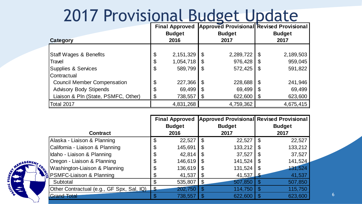#### 2017 Provisional Budget Update

| Category                                                             |          | <b>Final Approved</b><br><b>Budget</b><br>2016 | <b>Approved Provisional Revised Provisional</b><br><b>Budget</b><br>2017 |                    |          | <b>Budget</b><br>2017 |
|----------------------------------------------------------------------|----------|------------------------------------------------|--------------------------------------------------------------------------|--------------------|----------|-----------------------|
| <b>Staff Wages &amp; Benefits</b>                                    | \$       | 2, 151, 329                                    | \$                                                                       | 2,289,722          | \$       | 2,189,503             |
| Travel<br>Supplies & Services                                        | \$<br>\$ | 1,054,718<br>589,799                           | S<br>\$                                                                  | 976,428<br>572,425 | S<br>\$  | 959,045<br>591,822    |
| Contractual<br><b>Council Member Compensation</b>                    | \$       | 227,366                                        | \$                                                                       | 228,688            | \$       | 241,946               |
| <b>Advisory Body Stipends</b><br>Liaison & Pln (State, PSMFC, Other) | \$<br>\$ | 69,499<br>738,557                              | \$<br>\$                                                                 | 69,499<br>622,600  | \$<br>\$ | 69,499<br>623,600     |
| Total 2017                                                           |          | 4,831,268                                      |                                                                          | 4,759,362          |          | 4,675,415             |

|                                                                                                 |    | <b>Final Approved</b><br><b>Budget</b> |                | <b>Approved Provisional Revised Provisional</b><br><b>Budget</b> |   | <b>Budget</b> |
|-------------------------------------------------------------------------------------------------|----|----------------------------------------|----------------|------------------------------------------------------------------|---|---------------|
| <b>Contract</b>                                                                                 |    | 2016                                   |                | 2017                                                             |   | 2017          |
| Alaska - Liaison & Planning                                                                     | \$ | 22,527                                 | $\mathfrak{L}$ | 22,527                                                           | S | 22,527        |
| California - Liaison & Planning                                                                 | \$ | 145,691                                | S              | 133,212                                                          |   | 133,212       |
| Idaho - Liaison & Planning                                                                      | \$ | 42,814                                 |                | 37,527                                                           |   | 37,527        |
| Oregon - Liaison & Planning                                                                     | \$ | 146,619                                | S              | 141,524                                                          |   | 141,524       |
| Washington-Liaison & Planning                                                                   | \$ | 136,619                                | \$             | 131,524                                                          |   | 131,524       |
| Le I <sup>nviasnington-Liaison &amp; Planing</sup><br>I <mark>⊊</mark> PSMFC-Liaison & Planning |    | 41,537                                 | \$             | 41,537                                                           |   | 41,537        |
| Subtotal                                                                                        | \$ | 535,807                                | \$             | 507,850                                                          |   | 507,850       |
| Other Contractual (e.g., GF Spx, Sal, IQ)                                                       | S  | 202,750                                |                | 114,750                                                          |   | 115,750       |
| <b>Grand Total</b>                                                                              |    | 738,557                                |                | 622,600                                                          |   | 623,600       |

NAGEMEN

CIFIS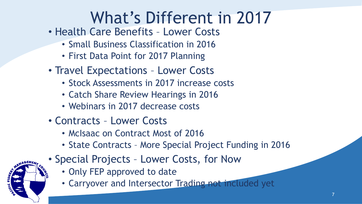### What's Different in 2017

- Health Care Benefits Lower Costs
	- Small Business Classification in 2016
	- First Data Point for 2017 Planning
- Travel Expectations Lower Costs
	- Stock Assessments in 2017 increase costs
	- Catch Share Review Hearings in 2016
	- Webinars in 2017 decrease costs
- Contracts Lower Costs
	- McIsaac on Contract Most of 2016
	- State Contracts More Special Project Funding in 2016
- Special Projects Lower Costs, for Now
	- Only FEP approved to date
	- Carryover and Intersector Trading not included yet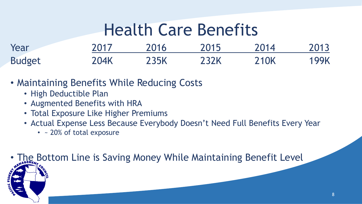#### Health Care Benefits

| Year          | 2017 | 2016 | 2015 | 2014 | 2013        |
|---------------|------|------|------|------|-------------|
| <b>Budget</b> | 204K | 235K | 232K | 210K | <b>199K</b> |

- Maintaining Benefits While Reducing Costs
	- High Deductible Plan
	- Augmented Benefits with HRA
	- Total Exposure Like Higher Premiums
	- Actual Expense Less Because Everybody Doesn't Need Full Benefits Every Year
		- ~ 20% of total exposure

The Bottom Line is Saving Money While Maintaining Benefit Level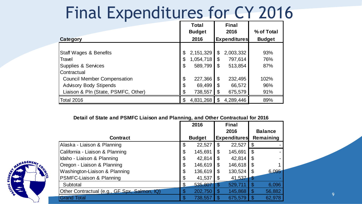#### Final Expenditures for CY 2016

|                                     |                            | <b>Total</b><br><b>Budget</b> |                           | <b>Final</b><br>2016 | % of Total    |
|-------------------------------------|----------------------------|-------------------------------|---------------------------|----------------------|---------------|
| <b>Category</b>                     |                            | 2016                          | <b>Expenditures</b>       |                      | <b>Budget</b> |
| <b>Staff Wages &amp; Benefits</b>   | \$                         | 2, 151, 329                   | \$                        | 2,003,332            | 93%           |
| Travel                              | \$                         | 1,054,718                     | \$                        | 797,614              | 76%           |
| Supplies & Services                 | \$                         | 589,799                       | $\mathfrak{L}$            | 513,854              | 87%           |
| <b>Contractual</b>                  |                            |                               |                           |                      |               |
| <b>Council Member Compensation</b>  | $\boldsymbol{\mathcal{S}}$ | 227,366                       | $\boldsymbol{\mathsf{S}}$ | 232,495              | 102%          |
| <b>Advisory Body Stipends</b>       | \$                         | 69,499                        | \$                        | 66,572               | 96%           |
| Liaison & Pln (State, PSMFC, Other) | \$                         | 738,557                       | \$                        | 675,579              | 91%           |
| Total 2016                          | S                          | 4,831,268                     | \$                        | 4,289,446            | 89%           |

#### **Detail of State and PSMFC Liaison and Planning, and Other Contractual for 2016**

|                                              |                       | 2016          |     | <b>Final</b>        |      |                |
|----------------------------------------------|-----------------------|---------------|-----|---------------------|------|----------------|
|                                              |                       |               |     | 2016                |      | <b>Balance</b> |
| <b>Contract</b>                              |                       | <b>Budget</b> |     | <b>Expenditures</b> |      | Remaining      |
| Alaska - Liaison & Planning                  | \$                    | 22,527        | \$  | 22,527              | \$   |                |
| California - Liaison & Planning              | \$                    | 145,691       | \$  | 145,691             | \$   |                |
| Idaho - Liaison & Planning                   | \$                    | 42,814        | \$  | 42,814              |      |                |
| Oregon - Liaison & Planning                  | $\boldsymbol{\theta}$ | 146,619       | \$  | 146,618             | - \$ |                |
| Washington-Liaison & Planning                | \$                    | 136,619       | \$  | 130,524             | - \$ | 6,095          |
| PSMFC-Liaison & Planning                     | \$                    | 41,537        | \$  | 41,537              |      |                |
| Subtotal                                     | \$                    | 535,807       | Ж   | 529,711             |      | 6,096          |
| Other Contractual (e.g., GF Spx, Salmon, IQ) | \$                    | 202,750       | S   | 145,868             |      | 56,882         |
| <b>Grand Total</b>                           | \$                    | 738,557       | \$. | 675,579             |      | 62,978         |

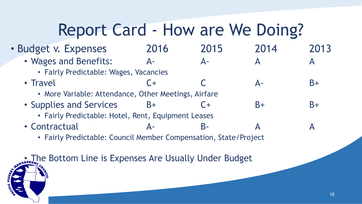#### Report Card - How are We Doing?

#### • Budget v. Expenses 2016 2015 2014 2013

- Wages and Benefits: A- A- A A A
	- Fairly Predictable: Wages, Vacancies
- Travel C + C A- B+
	- More Variable: Attendance, Other Meetings, Airfare
- Supplies and Services B+ C+ B+ B+ B+
	- Fairly Predictable: Hotel, Rent, Equipment Leases
- Contractual A- B- A A

• Fairly Predictable: Council Member Compensation, State/Project

The Bottom Line is Expenses Are Usually Under Budget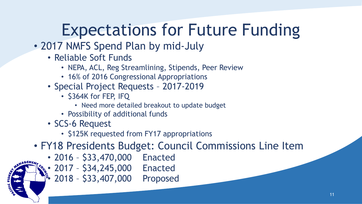### Expectations for Future Funding

- 2017 NMFS Spend Plan by mid-July
	- Reliable Soft Funds
		- NEPA, ACL, Reg Streamlining, Stipends, Peer Review
		- 16% of 2016 Congressional Appropriations
	- Special Project Requests 2017-2019
		- \$364K for FEP, IFQ
			- Need more detailed breakout to update budget
		- Possibility of additional funds
	- SCS-6 Request
		- \$125K requested from FY17 appropriations
- FY18 Presidents Budget: Council Commissions Line Item
	- 2016 \$33,470,000 Enacted
	- 2017 \$34,245,000 Enacted
	- 2018 \$33,407,000 Proposed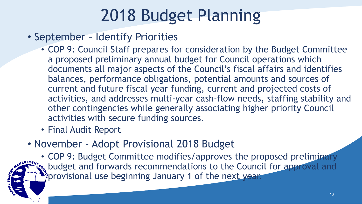### 2018 Budget Planning

- September Identify Priorities
	- COP 9: Council Staff prepares for consideration by the Budget Committee a proposed preliminary annual budget for Council operations which documents all major aspects of the Council's fiscal affairs and identifies balances, performance obligations, potential amounts and sources of current and future fiscal year funding, current and projected costs of activities, and addresses multi-year cash-flow needs, staffing stability and other contingencies while generally associating higher priority Council activities with secure funding sources.
	- Final Audit Report
- November Adopt Provisional 2018 Budget

• COP 9: Budget Committee modifies/approves the proposed preliminary s. budget and forwards recommendations to the Council for approval and Peprovisional use beginning January 1 of the next year.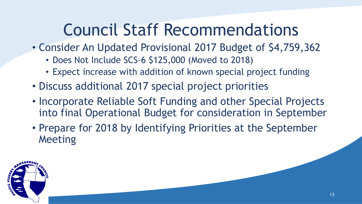#### Council Staff Recommendations

- Consider An Updated Provisional 2017 Budget of \$4,759,362
	- Does Not Include SCS-6 \$125,000 (Moved to 2018)
	- Expect increase with addition of known special project funding
- Discuss additional 2017 special project priorities
- Incorporate Reliable Soft Funding and other Special Projects into final Operational Budget for consideration in September
- Prepare for 2018 by Identifying Priorities at the September Meeting